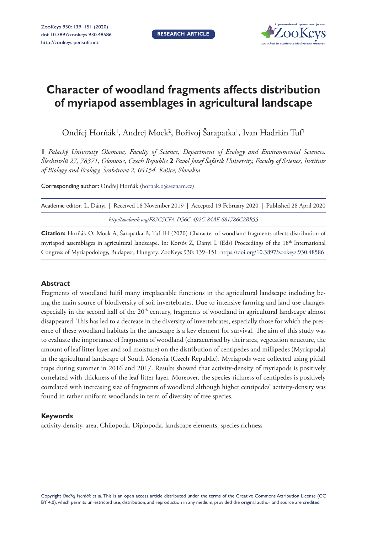**RESEARCH ARTICLE**



# **Character of woodland fragments affects distribution of myriapod assemblages in agricultural landscape**

Ondřej Horňák<sup>ı</sup>, Andrej Mock<sup>2</sup>, Bořivoj Šarapatka', Ivan Hadrián Tuf<sup>1</sup>

**1** *Palacký University Olomouc, Faculty of Science, Department of Ecology and Environmental Sciences, Šlechtitelů 27, 78371, Olomouc, Czech Republic* **2** *Pavol Jozef Šafárik University, Faculty of Science, Institute of Biology and Ecology, Šrobárova 2, 04154, Košice, Slovakia*

Corresponding author: Ondřej Horňák [\(hornak.o@seznam.cz](mailto:hornak.o@seznam.cz))

| Academic editor: L. Dányi   Received 18 November 2019   Accepted 19 February 2020   Published 28 April 2020 |  |
|-------------------------------------------------------------------------------------------------------------|--|
| http://zoobank.org/F87C5CFA-D56C-492C-84AE-681786C2BB55                                                     |  |

**Citation:** Horňák O, Mock A, Šarapatka B, Tuf IH (2020) Character of woodland fragments affects distribution of myriapod assemblages in agricultural landscape. In: Korsós Z, Dányi L (Eds) Proceedings of the 18<sup>th</sup> International Congress of Myriapodology, Budapest, Hungary. ZooKeys 930: 139–151. <https://doi.org/10.3897/zookeys.930.48586>

#### **Abstract**

Fragments of woodland fulfil many irreplaceable functions in the agricultural landscape including being the main source of biodiversity of soil invertebrates. Due to intensive farming and land use changes, especially in the second half of the 20<sup>th</sup> century, fragments of woodland in agricultural landscape almost disappeared. This has led to a decrease in the diversity of invertebrates, especially those for which the presence of these woodland habitats in the landscape is a key element for survival. The aim of this study was to evaluate the importance of fragments of woodland (characterised by their area, vegetation structure, the amount of leaf litter layer and soil moisture) on the distribution of centipedes and millipedes (Myriapoda) in the agricultural landscape of South Moravia (Czech Republic). Myriapods were collected using pitfall traps during summer in 2016 and 2017. Results showed that activity-density of myriapods is positively correlated with thickness of the leaf litter layer. Moreover, the species richness of centipedes is positively correlated with increasing size of fragments of woodland although higher centipedes' activity-density was found in rather uniform woodlands in term of diversity of tree species.

#### **Keywords**

activity-density, area, Chilopoda, Diplopoda, landscape elements, species richness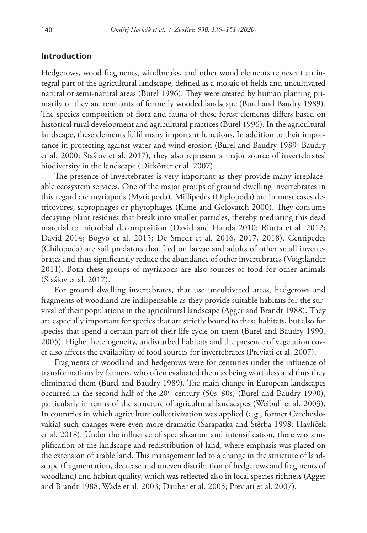# **Introduction**

Hedgerows, wood fragments, windbreaks, and other wood elements represent an integral part of the agricultural landscape, defined as a mosaic of fields and uncultivated natural or semi-natural areas (Burel 1996). They were created by human planting primarily or they are remnants of formerly wooded landscape (Burel and Baudry 1989). The species composition of flora and fauna of these forest elements differs based on historical rural development and agricultural practices (Burel 1996). In the agricultural landscape, these elements fulfil many important functions. In addition to their importance in protecting against water and wind erosion (Burel and Baudry 1989; Baudry et al. 2000; Stašiov et al. 2017), they also represent a major source of invertebrates' biodiversity in the landscape (Diekötter et al. 2007).

The presence of invertebrates is very important as they provide many irreplaceable ecosystem services. One of the major groups of ground dwelling invertebrates in this regard are myriapods (Myriapoda). Millipedes (Diplopoda) are in most cases detritovores, saprophages or phytophages (Kime and Golovatch 2000). They consume decaying plant residues that break into smaller particles, thereby mediating this dead material to microbial decomposition (David and Handa 2010; Riutta et al. 2012; David 2014; Bogyó et al. 2015; De Smedt et al. 2016, 2017, 2018). Centipedes (Chilopoda) are soil predators that feed on larvae and adults of other small invertebrates and thus significantly reduce the abundance of other invertebrates (Voigtländer 2011). Both these groups of myriapods are also sources of food for other animals (Stašiov et al. 2017).

For ground dwelling invertebrates, that use uncultivated areas, hedgerows and fragments of woodland are indispensable as they provide suitable habitats for the survival of their populations in the agricultural landscape (Agger and Brandt 1988). They are especially important for species that are strictly bound to these habitats, but also for species that spend a certain part of their life cycle on them (Burel and Baudry 1990, 2005). Higher heterogeneity, undisturbed habitats and the presence of vegetation cover also affects the availability of food sources for invertebrates (Previati et al. 2007).

Fragments of woodland and hedgerows were for centuries under the influence of transformations by farmers, who often evaluated them as being worthless and thus they eliminated them (Burel and Baudry 1989). The main change in European landscapes occurred in the second half of the  $20<sup>th</sup>$  century (50s–80s) (Burel and Baudry 1990), particularly in terms of the structure of agricultural landscapes (Weibull et al. 2003). In countries in which agriculture collectivization was applied (e.g., former Czechoslovakia) such changes were even more dramatic (Šarapatka and Štěrba 1998; Havlíček et al. 2018). Under the influence of specialization and intensification, there was simplification of the landscape and redistribution of land, where emphasis was placed on the extension of arable land. This management led to a change in the structure of landscape (fragmentation, decrease and uneven distribution of hedgerows and fragments of woodland) and habitat quality, which was reflected also in local species richness (Agger and Brandt 1988; Wade et al. 2003; Dauber et al. 2005; Previati et al. 2007).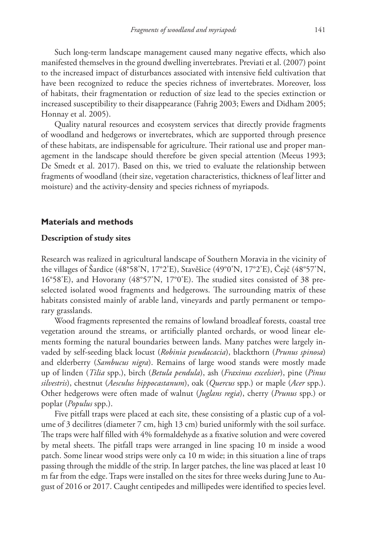Such long-term landscape management caused many negative effects, which also manifested themselves in the ground dwelling invertebrates. Previati et al. (2007) point to the increased impact of disturbances associated with intensive field cultivation that have been recognized to reduce the species richness of invertebrates. Moreover, loss of habitats, their fragmentation or reduction of size lead to the species extinction or increased susceptibility to their disappearance (Fahrig 2003; Ewers and Didham 2005; Honnay et al. 2005).

Quality natural resources and ecosystem services that directly provide fragments of woodland and hedgerows or invertebrates, which are supported through presence of these habitats, are indispensable for agriculture. Their rational use and proper management in the landscape should therefore be given special attention (Meeus 1993; De Smedt et al. 2017). Based on this, we tried to evaluate the relationship between fragments of woodland (their size, vegetation characteristics, thickness of leaf litter and moisture) and the activity-density and species richness of myriapods.

## **Materials and methods**

#### **Description of study sites**

Research was realized in agricultural landscape of Southern Moravia in the vicinity of the villages of Šardice (48°58'N, 17°2'E), Stavěšice (49°0'N, 17°2'E), Čejč (48°57'N, 16°58'E), and Hovorany (48°57'N, 17°0'E). The studied sites consisted of 38 preselected isolated wood fragments and hedgerows. The surrounding matrix of these habitats consisted mainly of arable land, vineyards and partly permanent or temporary grasslands.

Wood fragments represented the remains of lowland broadleaf forests, coastal tree vegetation around the streams, or artificially planted orchards, or wood linear elements forming the natural boundaries between lands. Many patches were largely invaded by self-seeding black locust (*Robinia pseudacacia*), blackthorn (*Prunus spinosa*) and elderberry (*Sambucus nigra*). Remains of large wood stands were mostly made up of linden (*Tilia* spp.), birch (*Betula pendula*), ash (*Fraxinus excelsior*), pine (*Pinus silvestris*), chestnut (*Aesculus hippocastanum*), oak (*Quercus* spp.) or maple (*Acer* spp.). Other hedgerows were often made of walnut (*Juglans regia*), cherry (*Prunus* spp.) or poplar (*Populus* spp.).

Five pitfall traps were placed at each site, these consisting of a plastic cup of a volume of 3 decilitres (diameter 7 cm, high 13 cm) buried uniformly with the soil surface. The traps were half filled with 4% formaldehyde as a fixative solution and were covered by metal sheets. The pitfall traps were arranged in line spacing 10 m inside a wood patch. Some linear wood strips were only ca 10 m wide; in this situation a line of traps passing through the middle of the strip. In larger patches, the line was placed at least 10 m far from the edge. Traps were installed on the sites for three weeks during June to August of 2016 or 2017. Caught centipedes and millipedes were identified to species level.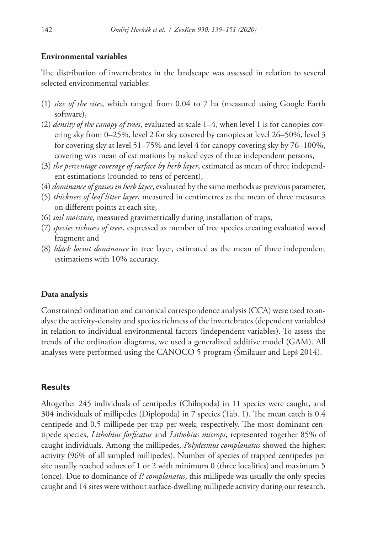## **Environmental variables**

The distribution of invertebrates in the landscape was assessed in relation to several selected environmental variables:

- (1) *size of the sites*, which ranged from 0.04 to 7 ha (measured using Google Earth software),
- (2) *density of the canopy of trees*, evaluated at scale 1–4, when level 1 is for canopies covering sky from 0–25%, level 2 for sky covered by canopies at level 26–50%, level 3 for covering sky at level 51–75% and level 4 for canopy covering sky by 76–100%, covering was mean of estimations by naked eyes of three independent persons,
- (3) *the percentage coverage of surface by herb layer*, estimated as mean of three independent estimations (rounded to tens of percent),
- (4) *dominance of grasses in herb layer*, evaluated by the same methods as previous parameter,
- (5) *thickness of leaf litter layer*, measured in centimetres as the mean of three measures on different points at each site,
- (6) *soil moisture*, measured gravimetrically during installation of traps,
- (7) *species richness of trees*, expressed as number of tree species creating evaluated wood fragment and
- (8) *black locust dominance* in tree layer, estimated as the mean of three independent estimations with 10% accuracy.

#### **Data analysis**

Constrained ordination and canonical correspondence analysis (CCA) were used to analyse the activity-density and species richness of the invertebrates (dependent variables) in relation to individual environmental factors (independent variables). To assess the trends of the ordination diagrams, we used a generalized additive model (GAM). All analyses were performed using the CANOCO 5 program (Šmilauer and Lepš 2014).

## **Results**

Altogether 245 individuals of centipedes (Chilopoda) in 11 species were caught, and 304 individuals of millipedes (Diplopoda) in 7 species (Tab. 1). The mean catch is 0.4 centipede and 0.5 millipede per trap per week, respectively. The most dominant centipede species, *Lithobius forficatus* and *Lithobius microps*, represented together 85% of caught individuals. Among the millipedes, *Polydesmus complanatus* showed the highest activity (96% of all sampled millipedes). Number of species of trapped centipedes per site usually reached values of 1 or 2 with minimum 0 (three localities) and maximum 5 (once). Due to dominance of *P. complanatus*, this millipede was usually the only species caught and 14 sites were without surface-dwelling millipede activity during our research.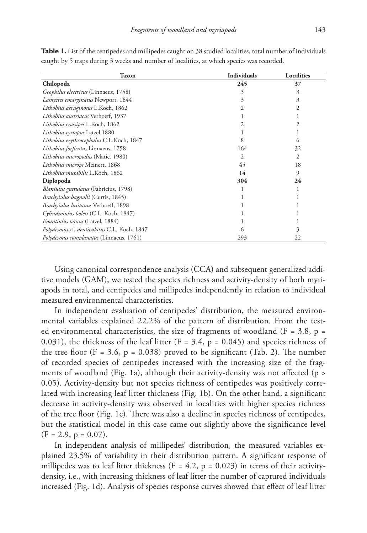| Taxon                                        | <b>Individuals</b> | Localities |  |
|----------------------------------------------|--------------------|------------|--|
| Chilopoda                                    | 245                | 37         |  |
| <i>Geophilus electricus</i> (Linnaeus, 1758) | 3                  | 3          |  |
| Lamyctes emarginatus Newport, 1844           | 3                  | 3          |  |
| Lithobius aeruginosus L.Koch, 1862           | 2                  | 2          |  |
| Lithobius austriacus Verhoeff, 1937          |                    |            |  |
| Lithobius crassipes L.Koch, 1862             | 2                  | 2          |  |
| Lithobius cyrtopus Latzel, 1880              |                    |            |  |
| Lithobius erythrocephalus C.L.Koch, 1847     | 8                  | 6          |  |
| Lithobius forficatus Linnaeus, 1758          | 164                | 32         |  |
| Lithobius micropodus (Matic, 1980)           | 2                  | 2          |  |
| Lithobius microps Meinert, 1868              | 45                 | 18         |  |
| Lithobius mutabilis L.Koch, 1862             | 14                 | 9          |  |
| Diplopoda                                    | 304                | 24         |  |
| Blaniulus guttulatus (Fabricius, 1798)       |                    |            |  |
| Brachyiulus bagnalli (Curtis, 1845)          |                    |            |  |
| Brachyiulus lusitanus Verhoeff, 1898         |                    |            |  |
| Cylindroiulus boleti (C.L. Koch, 1847)       |                    |            |  |
| Enantiulus nanus (Latzel, 1884)              |                    |            |  |
| Polydesmus cf. denticulatus C.L. Koch, 1847  | 6                  | 3          |  |
| Polydesmus complanatus (Linnaeus, 1761)      | 293                | 22         |  |

**Table 1.** List of the centipedes and millipedes caught on 38 studied localities, total number of individuals caught by 5 traps during 3 weeks and number of localities, at which species was recorded.

Using canonical correspondence analysis (CCA) and subsequent generalized additive models (GAM), we tested the species richness and activity-density of both myriapods in total, and centipedes and millipedes independently in relation to individual measured environmental characteristics.

In independent evaluation of centipedes' distribution, the measured environmental variables explained 22.2% of the pattern of distribution. From the tested environmental characteristics, the size of fragments of woodland ( $F = 3.8$ ,  $p =$ 0.031), the thickness of the leaf litter ( $F = 3.4$ ,  $p = 0.045$ ) and species richness of the tree floor  $(F = 3.6, p = 0.038)$  proved to be significant (Tab. 2). The number of recorded species of centipedes increased with the increasing size of the fragments of woodland (Fig. 1a), although their activity-density was not affected ( $p >$ 0.05). Activity-density but not species richness of centipedes was positively correlated with increasing leaf litter thickness (Fig. 1b). On the other hand, a significant decrease in activity-density was observed in localities with higher species richness of the tree floor (Fig. 1c). There was also a decline in species richness of centipedes, but the statistical model in this case came out slightly above the significance level  $(F = 2.9, p = 0.07).$ 

In independent analysis of millipedes' distribution, the measured variables explained 23.5% of variability in their distribution pattern. A significant response of millipedes was to leaf litter thickness (F = 4.2, p = 0.023) in terms of their activitydensity, i.e., with increasing thickness of leaf litter the number of captured individuals increased (Fig. 1d). Analysis of species response curves showed that effect of leaf litter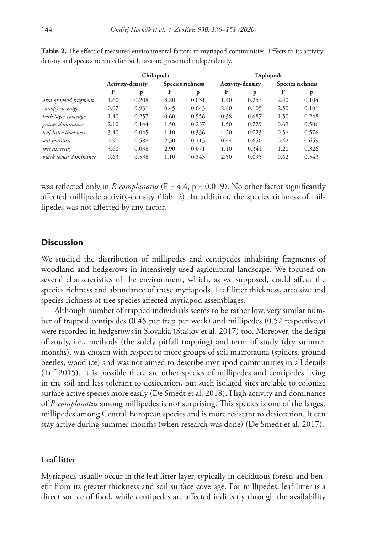|                        | Chilopoda        |       |                  |       | Diplopoda        |       |                  |       |
|------------------------|------------------|-------|------------------|-------|------------------|-------|------------------|-------|
|                        | Activity-density |       | Species richness |       | Activity-density |       | Species richness |       |
|                        | F                | D     | F                | D     | F                | D     | F                | D     |
| area of wood fragment  | 1.60             | 0.208 | 3.80             | 0.031 | 1.40             | 0.257 | 2.40             | 0.104 |
| canopy coverage        | 0.07             | 0.931 | 0.45             | 0.643 | 2.40             | 0.105 | 2.50             | 0.101 |
| herb layer coverage    | 1.40             | 0.257 | 0.60             | 0.556 | 0.38             | 0.687 | 1.50             | 0.248 |
| grasses dominance      | 2.10             | 0.144 | 1.50             | 0.237 | 1.50             | 0.229 | 0.69             | 0.506 |
| leaf litter thickness  | 3.40             | 0.045 | 1.10             | 0.336 | 4.20             | 0.023 | 0.56             | 0.576 |
| soil moisture          | 0.91             | 0.588 | 2.30             | 0.113 | 0.44             | 0.650 | 0.42             | 0.659 |
| tree diversity         | 3.60             | 0.038 | 2.90             | 0.071 | 1.10             | 0.341 | 1.20             | 0.326 |
| black locust dominance | 0.63             | 0.538 | 1.10             | 0.343 | 2.50             | 0.095 | 0.62             | 0.543 |

Table 2. The effect of measured environmental factors to myriapod communities. Effects to its activitydensity and species richness for both taxa are presented independently.

was reflected only in *P. complanatus* ( $F = 4.4$ ,  $p = 0.019$ ). No other factor significantly affected millipede activity-density (Tab. 2). In addition, the species richness of millipedes was not affected by any factor.

# **Discussion**

We studied the distribution of millipedes and centipedes inhabiting fragments of woodland and hedgerows in intensively used agricultural landscape. We focused on several characteristics of the environment, which, as we supposed, could affect the species richness and abundance of these myriapods. Leaf litter thickness, area size and species richness of tree species affected myriapod assemblages.

Although number of trapped individuals seems to be rather low, very similar number of trapped centipedes (0.45 per trap per week) and millipedes (0.52 respectively) were recorded in hedgerows in Slovakia (Stašiov et al. 2017) too. Moreover, the design of study, i.e., methods (the solely pitfall trapping) and term of study (dry summer months), was chosen with respect to more groups of soil macrofauna (spiders, ground beetles, woodlice) and was not aimed to describe myriapod communities in all details (Tuf 2015). It is possible there are other species of millipedes and centipedes living in the soil and less tolerant to desiccation, but such isolated sites are able to colonize surface active species more easily (De Smedt et al. 2018). High activity and dominance of *P. complanatus* among millipedes is not surprising. This species is one of the largest millipedes among Central European species and is more resistant to desiccation. It can stay active during summer months (when research was done) (De Smedt et al. 2017).

## **Leaf litter**

Myriapods usually occur in the leaf litter layer, typically in deciduous forests and benefit from its greater thickness and soil surface coverage. For millipedes, leaf litter is a direct source of food, while centipedes are affected indirectly through the availability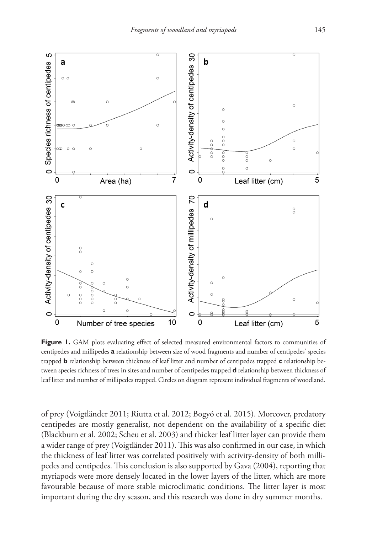

Figure 1. GAM plots evaluating effect of selected measured environmental factors to communities of centipedes and millipedes **a** relationship between size of wood fragments and number of centipedes' species trapped **b** relationship between thickness of leaf litter and number of centipedes trapped **c** relationship between species richness of trees in sites and number of centipedes trapped **d** relationship between thickness of leaf litter and number of millipedes trapped. Circles on diagram represent individual fragments of woodland.

of prey (Voigtländer 2011; Riutta et al. 2012; Bogyó et al. 2015). Moreover, predatory centipedes are mostly generalist, not dependent on the availability of a specific diet (Blackburn et al. 2002; Scheu et al. 2003) and thicker leaf litter layer can provide them a wider range of prey (Voigtländer 2011). This was also confirmed in our case, in which the thickness of leaf litter was correlated positively with activity-density of both millipedes and centipedes. This conclusion is also supported by Gava (2004), reporting that myriapods were more densely located in the lower layers of the litter, which are more favourable because of more stable microclimatic conditions. The litter layer is most important during the dry season, and this research was done in dry summer months.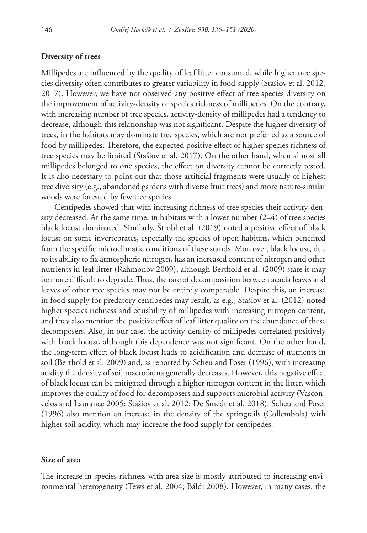## **Diversity of trees**

Millipedes are influenced by the quality of leaf litter consumed, while higher tree species diversity often contributes to greater variability in food supply (Stašiov et al. 2012, 2017). However, we have not observed any positive effect of tree species diversity on the improvement of activity-density or species richness of millipedes. On the contrary, with increasing number of tree species, activity-density of millipedes had a tendency to decrease, although this relationship was not significant. Despite the higher diversity of trees, in the habitats may dominate tree species, which are not preferred as a source of food by millipedes. Therefore, the expected positive effect of higher species richness of tree species may be limited (Stašiov et al. 2017). On the other hand, when almost all millipedes belonged to one species, the effect on diversity cannot be correctly tested. It is also necessary to point out that those artificial fragments were usually of highest tree diversity (e.g., abandoned gardens with diverse fruit trees) and more nature-similar woods were forested by few tree species.

Centipedes showed that with increasing richness of tree species their activity-density decreased. At the same time, in habitats with a lower number  $(2-4)$  of tree species black locust dominated. Similarly, Štrobl et al. (2019) noted a positive effect of black locust on some invertebrates, especially the species of open habitats, which benefited from the specific microclimatic conditions of these stands. Moreover, black locust, due to its ability to fix atmospheric nitrogen, has an increased content of nitrogen and other nutrients in leaf litter (Rahmonov 2009), although Berthold et al. (2009) state it may be more difficult to degrade. Thus, the rate of decomposition between acacia leaves and leaves of other tree species may not be entirely comparable. Despite this, an increase in food supply for predatory centipedes may result, as e.g., Stašiov et al. (2012) noted higher species richness and equability of millipedes with increasing nitrogen content, and they also mention the positive effect of leaf litter quality on the abundance of these decomposers. Also, in our case, the activity-density of millipedes correlated positively with black locust, although this dependence was not significant. On the other hand, the long-term effect of black locust leads to acidification and decrease of nutrients in soil (Berthold et al. 2009) and, as reported by Scheu and Poser (1996), with increasing acidity the density of soil macrofauna generally decreases. However, this negative effect of black locust can be mitigated through a higher nitrogen content in the litter, which improves the quality of food for decomposers and supports microbial activity (Vasconcelos and Laurance 2005; Stašiov et al. 2012; De Smedt et al. 2018). Scheu and Poser (1996) also mention an increase in the density of the springtails (Collembola) with higher soil acidity, which may increase the food supply for centipedes.

# **Size of area**

The increase in species richness with area size is mostly attributed to increasing environmental heterogeneity (Tews et al. 2004; Báldi 2008). However, in many cases, the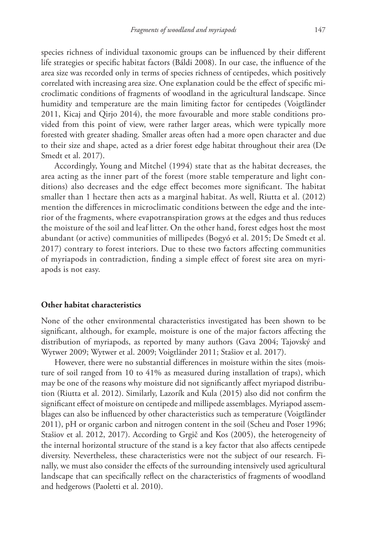species richness of individual taxonomic groups can be influenced by their different life strategies or specific habitat factors (Báldi 2008). In our case, the influence of the area size was recorded only in terms of species richness of centipedes, which positively correlated with increasing area size. One explanation could be the effect of specific microclimatic conditions of fragments of woodland in the agricultural landscape. Since humidity and temperature are the main limiting factor for centipedes (Voigtländer 2011, Kicaj and Qirjo 2014), the more favourable and more stable conditions provided from this point of view, were rather larger areas, which were typically more forested with greater shading. Smaller areas often had a more open character and due to their size and shape, acted as a drier forest edge habitat throughout their area (De Smedt et al. 2017).

Accordingly, Young and Mitchel (1994) state that as the habitat decreases, the area acting as the inner part of the forest (more stable temperature and light conditions) also decreases and the edge effect becomes more significant. The habitat smaller than 1 hectare then acts as a marginal habitat. As well, Riutta et al. (2012) mention the differences in microclimatic conditions between the edge and the interior of the fragments, where evapotranspiration grows at the edges and thus reduces the moisture of the soil and leaf litter. On the other hand, forest edges host the most abundant (or active) communities of millipedes (Bogyó et al. 2015; De Smedt et al. 2017) contrary to forest interiors. Due to these two factors affecting communities of myriapods in contradiction, finding a simple effect of forest site area on myriapods is not easy.

#### **Other habitat characteristics**

None of the other environmental characteristics investigated has been shown to be significant, although, for example, moisture is one of the major factors affecting the distribution of myriapods, as reported by many authors (Gava 2004; Tajovský and Wytwer 2009; Wytwer et al. 2009; Voigtländer 2011; Stašiov et al. 2017).

However, there were no substantial differences in moisture within the sites (moisture of soil ranged from 10 to 41% as measured during installation of traps), which may be one of the reasons why moisture did not significantly affect myriapod distribution (Riutta et al. 2012). Similarly, Lazorík and Kula (2015) also did not confirm the significant effect of moisture on centipede and millipede assemblages. Myriapod assemblages can also be influenced by other characteristics such as temperature (Voigtländer 2011), pH or organic carbon and nitrogen content in the soil (Scheu and Poser 1996; Stašiov et al. 2012, 2017). According to Grgič and Kos (2005), the heterogeneity of the internal horizontal structure of the stand is a key factor that also affects centipede diversity. Nevertheless, these characteristics were not the subject of our research. Finally, we must also consider the effects of the surrounding intensively used agricultural landscape that can specifically reflect on the characteristics of fragments of woodland and hedgerows (Paoletti et al. 2010).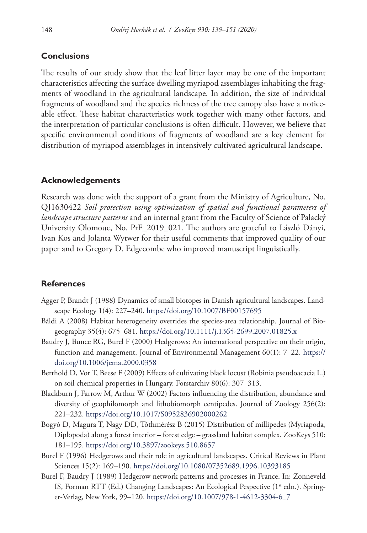# **Conclusions**

The results of our study show that the leaf litter layer may be one of the important characteristics affecting the surface dwelling myriapod assemblages inhabiting the fragments of woodland in the agricultural landscape. In addition, the size of individual fragments of woodland and the species richness of the tree canopy also have a noticeable effect. These habitat characteristics work together with many other factors, and the interpretation of particular conclusions is often difficult. However, we believe that specific environmental conditions of fragments of woodland are a key element for distribution of myriapod assemblages in intensively cultivated agricultural landscape.

## **Acknowledgements**

Research was done with the support of a grant from the Ministry of Agriculture, No. QJ1630422 *Soil protection using optimization of spatial and functional parameters of landscape structure patterns* and an internal grant from the Faculty of Science of Palacký University Olomouc, No. PrF\_2019\_021. The authors are grateful to László Dányi, Ivan Kos and Jolanta Wytwer for their useful comments that improved quality of our paper and to Gregory D. Edgecombe who improved manuscript linguistically.

#### **References**

- Agger P, Brandt J (1988) Dynamics of small biotopes in Danish agricultural landscapes. Landscape Ecology 1(4): 227–240. <https://doi.org/10.1007/BF00157695>
- Báldi A (2008) Habitat heterogeneity overrides the species-area relationship. Journal of Biogeography 35(4): 675–681.<https://doi.org/10.1111/j.1365-2699.2007.01825.x>
- Baudry J, Bunce RG, Burel F (2000) Hedgerows: An international perspective on their origin, function and management. Journal of Environmental Management 60(1): 7–22. [https://](https://doi.org/10.1006/jema.2000.0358) [doi.org/10.1006/jema.2000.0358](https://doi.org/10.1006/jema.2000.0358)
- Berthold D, Vor T, Beese F (2009) Effects of cultivating black locust (Robinia pseudoacacia L.) on soil chemical properties in Hungary. Forstarchiv 80(6): 307–313.
- Blackburn J, Farrow M, Arthur W (2002) Factors influencing the distribution, abundance and diversity of geophilomorph and lithobiomorph centipedes. Journal of Zoology 256(2): 221–232.<https://doi.org/10.1017/S0952836902000262>
- Bogyó D, Magura T, Nagy DD, Tóthmérész B (2015) Distribution of millipedes (Myriapoda, Diplopoda) along a forest interior – forest edge – grassland habitat complex. ZooKeys 510: 181–195.<https://doi.org/10.3897/zookeys.510.8657>
- Burel F (1996) Hedgerows and their role in agricultural landscapes. Critical Reviews in Plant Sciences 15(2): 169–190.<https://doi.org/10.1080/07352689.1996.10393185>
- Burel F, Baudry J (1989) Hedgerow network patterns and processes in France. In: Zonneveld IS, Forman RTT (Ed.) Changing Landscapes: An Ecological Pespective (1<sup>st</sup> edn.). Springer-Verlag, New York, 99–120. [https://doi.org/10.1007/978-1-4612-3304-6\\_7](https://doi.org/10.1007/978-1-4612-3304-6_7)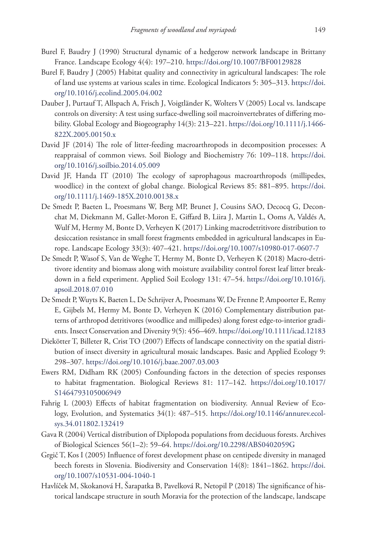- Burel F, Baudry J (1990) Structural dynamic of a hedgerow network landscape in Brittany France. Landscape Ecology 4(4): 197–210.<https://doi.org/10.1007/BF00129828>
- Burel F, Baudry J (2005) Habitat quality and connectivity in agricultural landscapes: The role of land use systems at various scales in time. Ecological Indicators 5: 305–313. [https://doi.](https://doi.org/10.1016/j.ecolind.2005.04.002) [org/10.1016/j.ecolind.2005.04.002](https://doi.org/10.1016/j.ecolind.2005.04.002)
- Dauber J, Purtauf T, Allspach A, Frisch J, Voigtländer K, Wolters V (2005) Local vs. landscape controls on diversity: A test using surface-dwelling soil macroinvertebrates of differing mobility. Global Ecology and Biogeography 14(3): 213–221. [https://doi.org/10.1111/j.1466-](https://doi.org/10.1111/j.1466-822X.2005.00150.x) [822X.2005.00150.x](https://doi.org/10.1111/j.1466-822X.2005.00150.x)
- David JF (2014) The role of litter-feeding macroarthropods in decomposition processes: A reappraisal of common views. Soil Biology and Biochemistry 76: 109–118. [https://doi.](https://doi.org/10.1016/j.soilbio.2014.05.009) [org/10.1016/j.soilbio.2014.05.009](https://doi.org/10.1016/j.soilbio.2014.05.009)
- David JF, Handa IT (2010) The ecology of saprophagous macroarthropods (millipedes, woodlice) in the context of global change. Biological Reviews 85: 881–895. [https://doi.](https://doi.org/10.1111/j.1469-185X.2010.00138.x) [org/10.1111/j.1469-185X.2010.00138.x](https://doi.org/10.1111/j.1469-185X.2010.00138.x)
- De Smedt P, Baeten L, Proesmans W, Berg MP, Brunet J, Cousins SAO, Decocq G, Deconchat M, Diekmann M, Gallet-Moron E, Giffard B, Liira J, Martin L, Ooms A, Valdés A, Wulf M, Hermy M, Bonte D, Verheyen K (2017) Linking macrodetritivore distribution to desiccation resistance in small forest fragments embedded in agricultural landscapes in Europe. Landscape Ecology 33(3): 407–421.<https://doi.org/10.1007/s10980-017-0607-7>
- De Smedt P, Wasof S, Van de Weghe T, Hermy M, Bonte D, Verheyen K (2018) Macro-detritivore identity and biomass along with moisture availability control forest leaf litter breakdown in a field experiment. Applied Soil Ecology 131: 47–54. [https://doi.org/10.1016/j.](https://doi.org/10.1016/j.apsoil.2018.07.010) [apsoil.2018.07.010](https://doi.org/10.1016/j.apsoil.2018.07.010)
- De Smedt P, Wuyts K, Baeten L, De Schrijver A, Proesmans W, De Frenne P, Ampoorter E, Remy E, Gijbels M, Hermy M, Bonte D, Verheyen K (2016) Complementary distribution patterns of arthropod detritivores (woodlice and millipedes) along forest edge-to-interior gradients. Insect Conservation and Diversity 9(5): 456–469.<https://doi.org/10.1111/icad.12183>
- Diekötter T, Billeter R, Crist TO (2007) Effects of landscape connectivity on the spatial distribution of insect diversity in agricultural mosaic landscapes. Basic and Applied Ecology 9: 298–307.<https://doi.org/10.1016/j.baae.2007.03.003>
- Ewers RM, Didham RK (2005) Confounding factors in the detection of species responses to habitat fragmentation. Biological Reviews 81: 117–142. [https://doi.org/10.1017/](https://doi.org/10.1017/S1464793105006949) [S1464793105006949](https://doi.org/10.1017/S1464793105006949)
- Fahrig L (2003) Effects of habitat fragmentation on biodiversity. Annual Review of Ecology, Evolution, and Systematics 34(1): 487–515. [https://doi.org/10.1146/annurev.ecol](https://doi.org/10.1146/annurev.ecolsys.34.011802.132419)[sys.34.011802.132419](https://doi.org/10.1146/annurev.ecolsys.34.011802.132419)
- Gava R (2004) Vertical distribution of Diplopoda populations from deciduous forests. Archives of Biological Sciences 56(1–2): 59–64.<https://doi.org/10.2298/ABS0402059G>
- Grgič T, Kos I (2005) Influence of forest development phase on centipede diversity in managed beech forests in Slovenia. Biodiversity and Conservation 14(8): 1841–1862. [https://doi.](https://doi.org/10.1007/s10531-004-1040-1) [org/10.1007/s10531-004-1040-1](https://doi.org/10.1007/s10531-004-1040-1)
- Havlíček M, Skokanová H, Šarapatka B, Pavelková R, Netopil P (2018) The significance of historical landscape structure in south Moravia for the protection of the landscape, landscape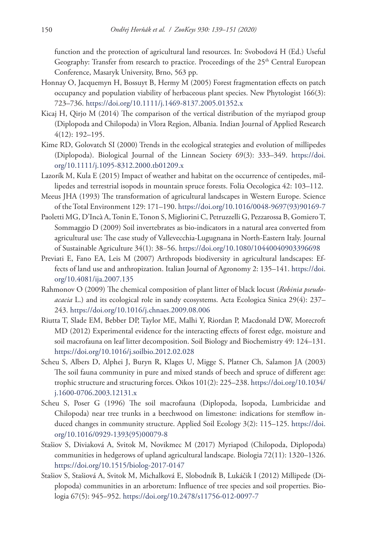function and the protection of agricultural land resources. In: Svobodová H (Ed.) Useful Geography: Transfer from research to practice. Proceedings of the 25<sup>th</sup> Central European Conference, Masaryk University, Brno, 563 pp.

- Honnay O, Jacquemyn H, Bossuyt B, Hermy M (2005) Forest fragmentation effects on patch occupancy and population viability of herbaceous plant species. New Phytologist 166(3): 723–736.<https://doi.org/10.1111/j.1469-8137.2005.01352.x>
- Kicaj H, Qirjo M (2014) The comparison of the vertical distribution of the myriapod group (Diplopoda and Chilopoda) in Vlora Region, Albania. Indian Journal of Applied Research 4(12): 192–195.
- Kime RD, Golovatch SI (2000) Trends in the ecological strategies and evolution of millipedes (Diplopoda). Biological Journal of the Linnean Society 69(3): 333–349. [https://doi.](https://doi.org/10.1111/j.1095-8312.2000.tb01209.x) [org/10.1111/j.1095-8312.2000.tb01209.x](https://doi.org/10.1111/j.1095-8312.2000.tb01209.x)
- Lazorík M, Kula E (2015) Impact of weather and habitat on the occurrence of centipedes, millipedes and terrestrial isopods in mountain spruce forests. Folia Oecologica 42: 103–112.
- Meeus JHA (1993) The transformation of agricultural landscapes in Western Europe. Science of the Total Environment 129: 171–190. [https://doi.org/10.1016/0048-9697\(93\)90169-7](https://doi.org/10.1016/0048-9697(93)90169-7)
- Paoletti MG, D'Incà A, Tonin E, Tonon S, Migliorini C, Petruzzelli G, Pezzarossa B, Gomiero T, Sommaggio D (2009) Soil invertebrates as bio-indicators in a natural area converted from agricultural use: The case study of Vallevecchia-Lugugnana in North-Eastern Italy. Journal of Sustainable Agriculture 34(1): 38–56.<https://doi.org/10.1080/10440040903396698>
- Previati E, Fano EA, Leis M (2007) Arthropods biodiversity in agricultural landscapes: Effects of land use and anthropization. Italian Journal of Agronomy 2: 135–141. [https://doi.](https://doi.org/10.4081/ija.2007.135) [org/10.4081/ija.2007.135](https://doi.org/10.4081/ija.2007.135)
- Rahmonov O (2009) The chemical composition of plant litter of black locust (*Robinia pseudoacacia* L.) and its ecological role in sandy ecosystems. Acta Ecologica Sinica 29(4): 237– 243.<https://doi.org/10.1016/j.chnaes.2009.08.006>
- Riutta T, Slade EM, Bebber DP, Taylor ME, Malhi Y, Riordan P, Macdonald DW, Morecroft MD (2012) Experimental evidence for the interacting effects of forest edge, moisture and soil macrofauna on leaf litter decomposition. Soil Biology and Biochemistry 49: 124–131. <https://doi.org/10.1016/j.soilbio.2012.02.028>
- Scheu S, Albers D, Alphei J, Buryn R, Klages U, Migge S, Platner Ch, Salamon JA (2003) The soil fauna community in pure and mixed stands of beech and spruce of different age: trophic structure and structuring forces. Oikos 101(2): 225–238. [https://doi.org/10.1034/](https://doi.org/10.1034/j.1600-0706.2003.12131.x) [j.1600-0706.2003.12131.x](https://doi.org/10.1034/j.1600-0706.2003.12131.x)
- Scheu S, Poser G (1996) The soil macrofauna (Diplopoda, Isopoda, Lumbricidae and Chilopoda) near tree trunks in a beechwood on limestone: indications for stemflow induced changes in community structure. Applied Soil Ecology 3(2): 115–125. [https://doi.](https://doi.org/10.1016/0929-1393(95)00079-8) [org/10.1016/0929-1393\(95\)00079-8](https://doi.org/10.1016/0929-1393(95)00079-8)
- Stašiov S, Diviaková A, Svitok M, Novikmec M (2017) Myriapod (Chilopoda, Diplopoda) communities in hedgerows of upland agricultural landscape. Biologia 72(11): 1320–1326. <https://doi.org/10.1515/biolog-2017-0147>
- Stašiov S, Stašiová A, Svitok M, Michalková E, Slobodník B, Lukáčik I (2012) Millipede (Diplopoda) communities in an arboretum: Influence of tree species and soil properties. Biologia 67(5): 945–952. <https://doi.org/10.2478/s11756-012-0097-7>